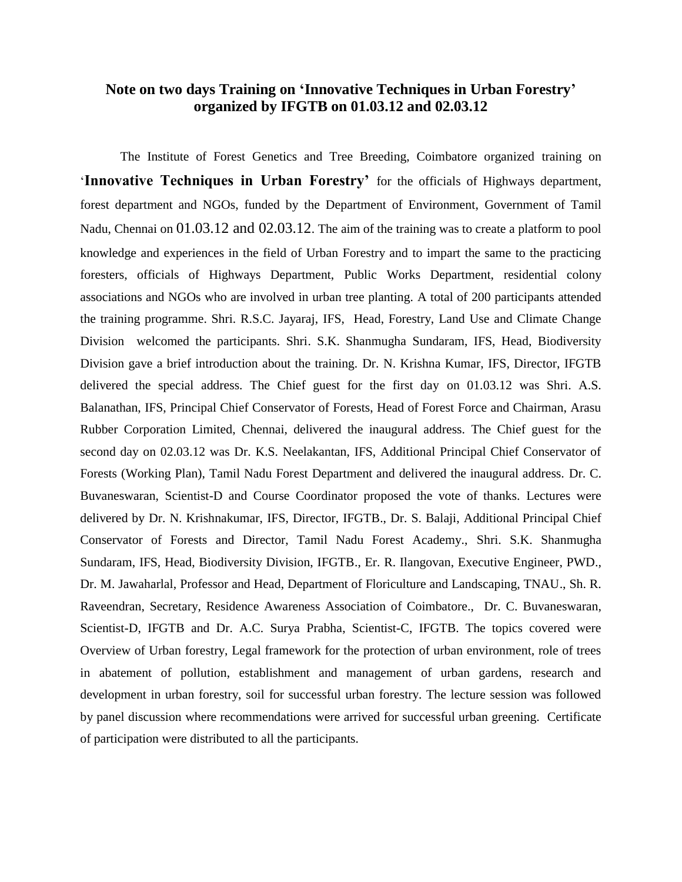## **Note on two days Training on 'Innovative Techniques in Urban Forestry' organized by IFGTB on 01.03.12 and 02.03.12**

The Institute of Forest Genetics and Tree Breeding, Coimbatore organized training on '**Innovative Techniques in Urban Forestry'** for the officials of Highways department, forest department and NGOs, funded by the Department of Environment, Government of Tamil Nadu, Chennai on 01.03.12 and 02.03.12. The aim of the training was to create a platform to pool knowledge and experiences in the field of Urban Forestry and to impart the same to the practicing foresters, officials of Highways Department, Public Works Department, residential colony associations and NGOs who are involved in urban tree planting. A total of 200 participants attended the training programme. Shri. R.S.C. Jayaraj, IFS, Head, Forestry, Land Use and Climate Change Division welcomed the participants. Shri. S.K. Shanmugha Sundaram, IFS, Head, Biodiversity Division gave a brief introduction about the training. Dr. N. Krishna Kumar, IFS, Director, IFGTB delivered the special address. The Chief guest for the first day on 01.03.12 was Shri. A.S. Balanathan, IFS, Principal Chief Conservator of Forests, Head of Forest Force and Chairman, Arasu Rubber Corporation Limited, Chennai, delivered the inaugural address. The Chief guest for the second day on 02.03.12 was Dr. K.S. Neelakantan, IFS, Additional Principal Chief Conservator of Forests (Working Plan), Tamil Nadu Forest Department and delivered the inaugural address. Dr. C. Buvaneswaran, Scientist-D and Course Coordinator proposed the vote of thanks. Lectures were delivered by Dr. N. Krishnakumar, IFS, Director, IFGTB., Dr. S. Balaji, Additional Principal Chief Conservator of Forests and Director, Tamil Nadu Forest Academy., Shri. S.K. Shanmugha Sundaram, IFS, Head, Biodiversity Division, IFGTB., Er. R. Ilangovan, Executive Engineer, PWD., Dr. M. Jawaharlal, Professor and Head, Department of Floriculture and Landscaping, TNAU., Sh. R. Raveendran, Secretary, Residence Awareness Association of Coimbatore., Dr. C. Buvaneswaran, Scientist-D, IFGTB and Dr. A.C. Surya Prabha, Scientist-C, IFGTB. The topics covered were Overview of Urban forestry, Legal framework for the protection of urban environment, role of trees in abatement of pollution, establishment and management of urban gardens, research and development in urban forestry, soil for successful urban forestry. The lecture session was followed by panel discussion where recommendations were arrived for successful urban greening. Certificate of participation were distributed to all the participants.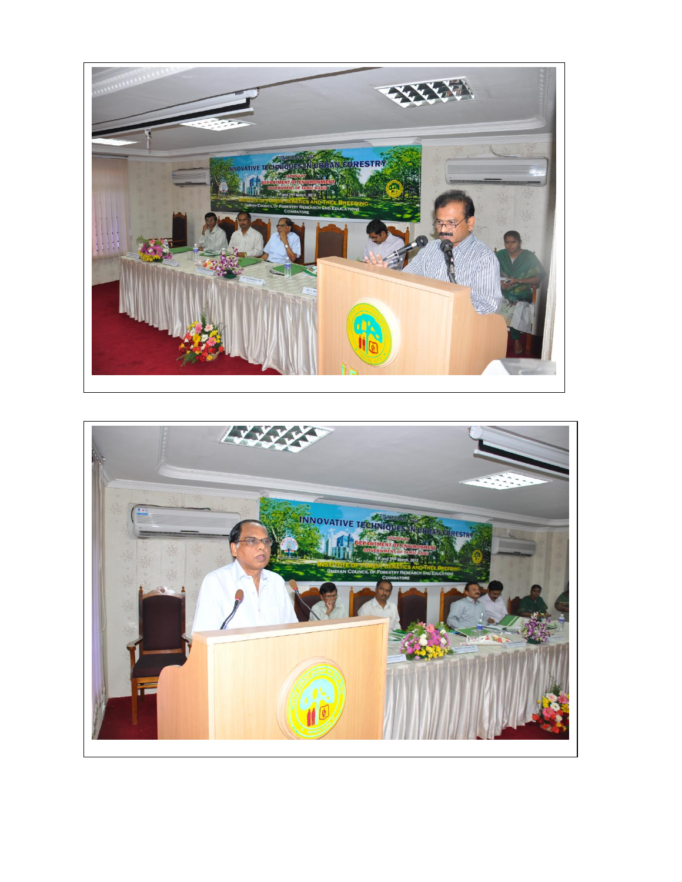

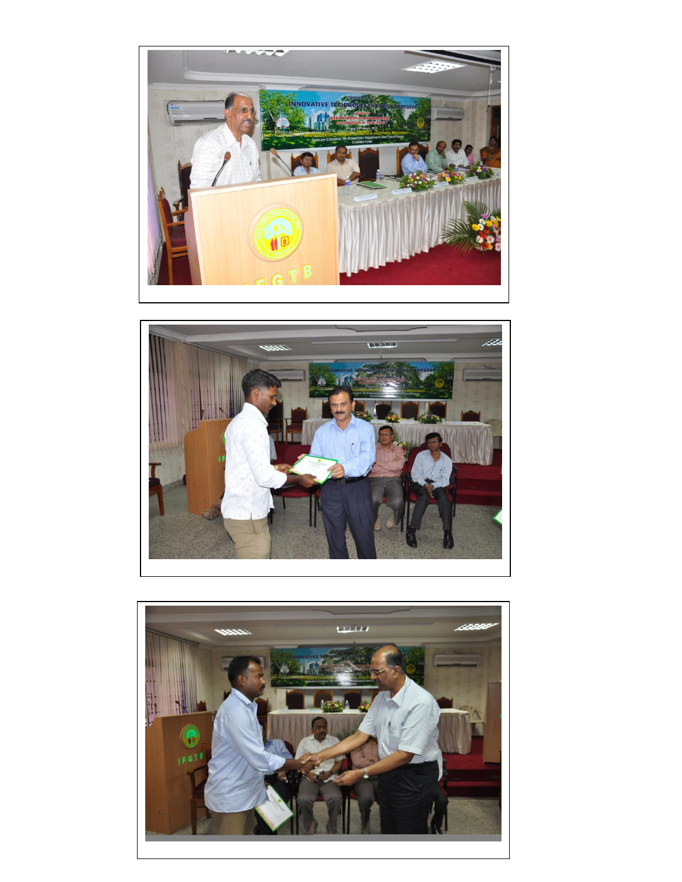